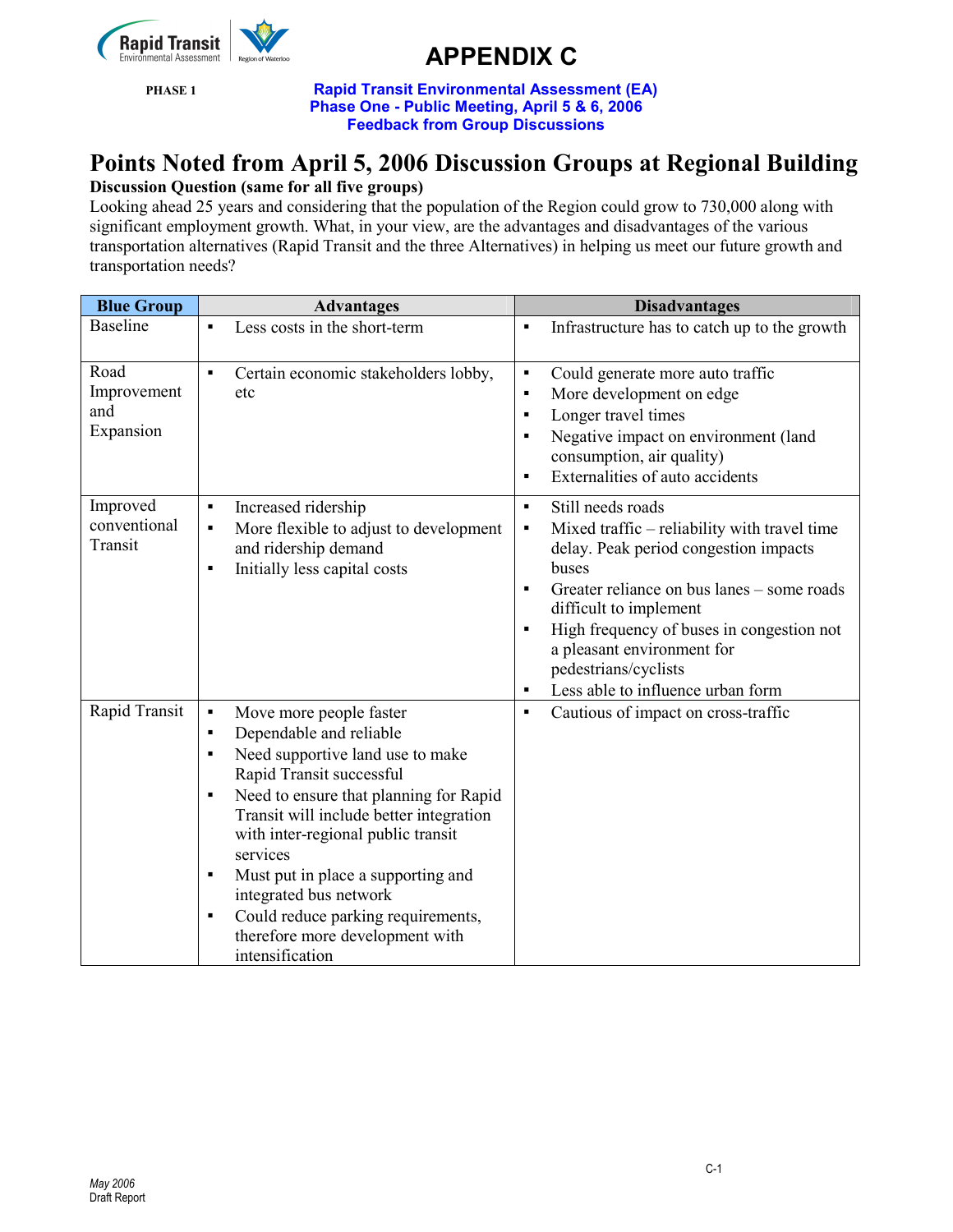

PHASE 1 Rapid Transit Environmental Assessment (EA) Phase One - Public Meeting, April 5 & 6, 2006 Feedback from Group Discussions

### Points Noted from April 5, 2006 Discussion Groups at Regional Building

### Discussion Question (same for all five groups)

Looking ahead 25 years and considering that the population of the Region could grow to 730,000 along with significant employment growth. What, in your view, are the advantages and disadvantages of the various transportation alternatives (Rapid Transit and the three Alternatives) in helping us meet our future growth and transportation needs?

| <b>Blue Group</b>       | <b>Advantages</b>                                                                                  | <b>Disadvantages</b>                                                                                             |
|-------------------------|----------------------------------------------------------------------------------------------------|------------------------------------------------------------------------------------------------------------------|
| <b>Baseline</b>         | Less costs in the short-term<br>$\blacksquare$                                                     | Infrastructure has to catch up to the growth<br>$\blacksquare$                                                   |
| Road                    | $\blacksquare$<br>Certain economic stakeholders lobby,                                             | Could generate more auto traffic<br>$\blacksquare$                                                               |
| Improvement             | etc                                                                                                | More development on edge<br>$\blacksquare$                                                                       |
| and                     |                                                                                                    | Longer travel times<br>٠                                                                                         |
| Expansion               |                                                                                                    | Negative impact on environment (land<br>٠<br>consumption, air quality)                                           |
|                         |                                                                                                    | Externalities of auto accidents<br>٠                                                                             |
| Improved                | Increased ridership<br>$\blacksquare$                                                              | Still needs roads<br>$\blacksquare$                                                                              |
| conventional<br>Transit | More flexible to adjust to development<br>$\blacksquare$<br>and ridership demand<br>$\blacksquare$ | Mixed traffic - reliability with travel time<br>$\blacksquare$<br>delay. Peak period congestion impacts<br>buses |
|                         | Initially less capital costs                                                                       | Greater reliance on bus lanes – some roads<br>$\blacksquare$                                                     |
|                         |                                                                                                    | difficult to implement                                                                                           |
|                         |                                                                                                    | High frequency of buses in congestion not<br>٠                                                                   |
|                         |                                                                                                    | a pleasant environment for                                                                                       |
|                         |                                                                                                    | pedestrians/cyclists                                                                                             |
|                         |                                                                                                    | Less able to influence urban form                                                                                |
| Rapid Transit           | $\blacksquare$<br>Move more people faster                                                          | Cautious of impact on cross-traffic<br>$\blacksquare$                                                            |
|                         | Dependable and reliable<br>$\blacksquare$                                                          |                                                                                                                  |
|                         | Need supportive land use to make<br>$\blacksquare$                                                 |                                                                                                                  |
|                         | Rapid Transit successful                                                                           |                                                                                                                  |
|                         | Need to ensure that planning for Rapid<br>$\blacksquare$                                           |                                                                                                                  |
|                         | Transit will include better integration                                                            |                                                                                                                  |
|                         | with inter-regional public transit                                                                 |                                                                                                                  |
|                         | services                                                                                           |                                                                                                                  |
|                         | Must put in place a supporting and<br>$\blacksquare$                                               |                                                                                                                  |
|                         | integrated bus network                                                                             |                                                                                                                  |
|                         | Could reduce parking requirements,<br>$\blacksquare$                                               |                                                                                                                  |
|                         | therefore more development with                                                                    |                                                                                                                  |
|                         | intensification                                                                                    |                                                                                                                  |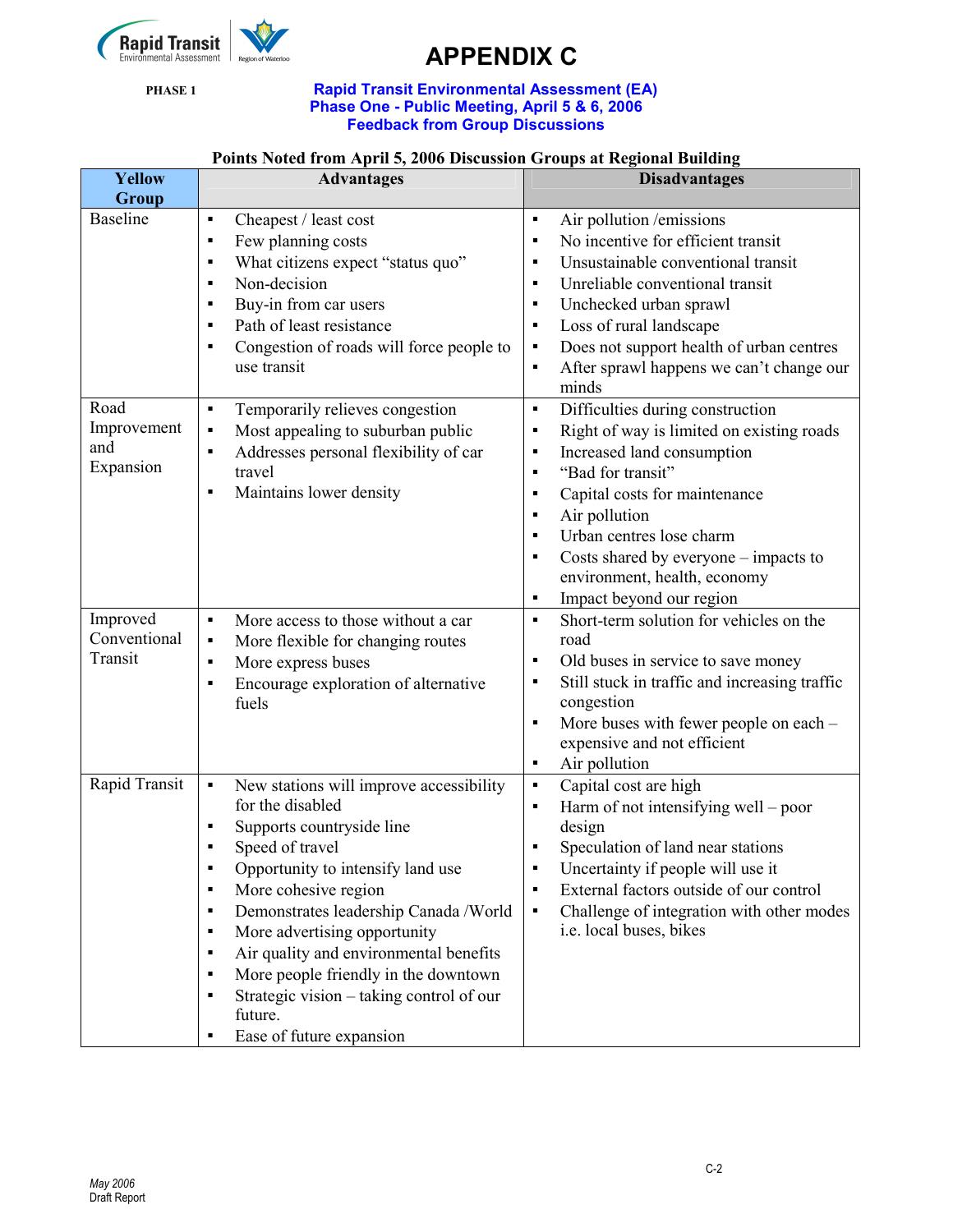

#### PHASE 1 **Rapid Transit Environmental Assessment (EA)** Phase One - Public Meeting, April 5 & 6, 2006 Feedback from Group Discussions

### Points Noted from April 5, 2006 Discussion Groups at Regional Building

| <b>Yellow</b><br>Group                  | <b>Advantages</b>                                                                                                                                                                                                                                                                                                                                                                                                                                                                                                                                                   | <b>Disadvantages</b>                                                                                                                                                                                                                                                                                                                                                                                                                                                     |
|-----------------------------------------|---------------------------------------------------------------------------------------------------------------------------------------------------------------------------------------------------------------------------------------------------------------------------------------------------------------------------------------------------------------------------------------------------------------------------------------------------------------------------------------------------------------------------------------------------------------------|--------------------------------------------------------------------------------------------------------------------------------------------------------------------------------------------------------------------------------------------------------------------------------------------------------------------------------------------------------------------------------------------------------------------------------------------------------------------------|
| <b>Baseline</b>                         | Cheapest / least cost<br>$\blacksquare$<br>Few planning costs<br>$\blacksquare$<br>What citizens expect "status quo"<br>$\blacksquare$<br>Non-decision<br>$\blacksquare$<br>Buy-in from car users<br>$\blacksquare$<br>Path of least resistance<br>$\blacksquare$<br>Congestion of roads will force people to<br>$\blacksquare$<br>use transit                                                                                                                                                                                                                      | Air pollution /emissions<br>$\blacksquare$<br>No incentive for efficient transit<br>$\blacksquare$<br>Unsustainable conventional transit<br>$\blacksquare$<br>Unreliable conventional transit<br>$\blacksquare$<br>Unchecked urban sprawl<br>$\blacksquare$<br>Loss of rural landscape<br>$\blacksquare$<br>Does not support health of urban centres<br>Е<br>After sprawl happens we can't change our<br>П<br>minds                                                      |
| Road<br>Improvement<br>and<br>Expansion | Temporarily relieves congestion<br>$\blacksquare$<br>Most appealing to suburban public<br>$\blacksquare$<br>Addresses personal flexibility of car<br>$\blacksquare$<br>travel<br>Maintains lower density<br>$\blacksquare$                                                                                                                                                                                                                                                                                                                                          | Difficulties during construction<br>$\blacksquare$<br>Right of way is limited on existing roads<br>$\blacksquare$<br>Increased land consumption<br>$\blacksquare$<br>"Bad for transit"<br>$\blacksquare$<br>Capital costs for maintenance<br>п<br>Air pollution<br>$\blacksquare$<br>Urban centres lose charm<br>$\blacksquare$<br>Costs shared by everyone – impacts to<br>$\blacksquare$<br>environment, health, economy<br>Impact beyond our region<br>$\blacksquare$ |
| Improved<br>Conventional<br>Transit     | More access to those without a car<br>$\blacksquare$<br>More flexible for changing routes<br>$\blacksquare$<br>More express buses<br>$\blacksquare$<br>Encourage exploration of alternative<br>$\blacksquare$<br>fuels                                                                                                                                                                                                                                                                                                                                              | Short-term solution for vehicles on the<br>$\blacksquare$<br>road<br>Old buses in service to save money<br>$\blacksquare$<br>Still stuck in traffic and increasing traffic<br>П<br>congestion<br>More buses with fewer people on each -<br>$\blacksquare$<br>expensive and not efficient<br>Air pollution<br>$\blacksquare$                                                                                                                                              |
| Rapid Transit                           | New stations will improve accessibility<br>$\blacksquare$<br>for the disabled<br>Supports countryside line<br>$\blacksquare$<br>Speed of travel<br>٠<br>Opportunity to intensify land use<br>More cohesive region<br>$\blacksquare$<br>Demonstrates leadership Canada /World<br>$\blacksquare$<br>More advertising opportunity<br>٠<br>Air quality and environmental benefits<br>$\blacksquare$<br>More people friendly in the downtown<br>$\blacksquare$<br>Strategic vision – taking control of our<br>$\blacksquare$<br>future.<br>Ease of future expansion<br>٠ | Capital cost are high<br>$\blacksquare$<br>Harm of not intensifying well – poor<br>$\blacksquare$<br>design<br>Speculation of land near stations<br>$\blacksquare$<br>Uncertainty if people will use it<br>External factors outside of our control<br>$\blacksquare$<br>Challenge of integration with other modes<br>٠<br>i.e. local buses, bikes                                                                                                                        |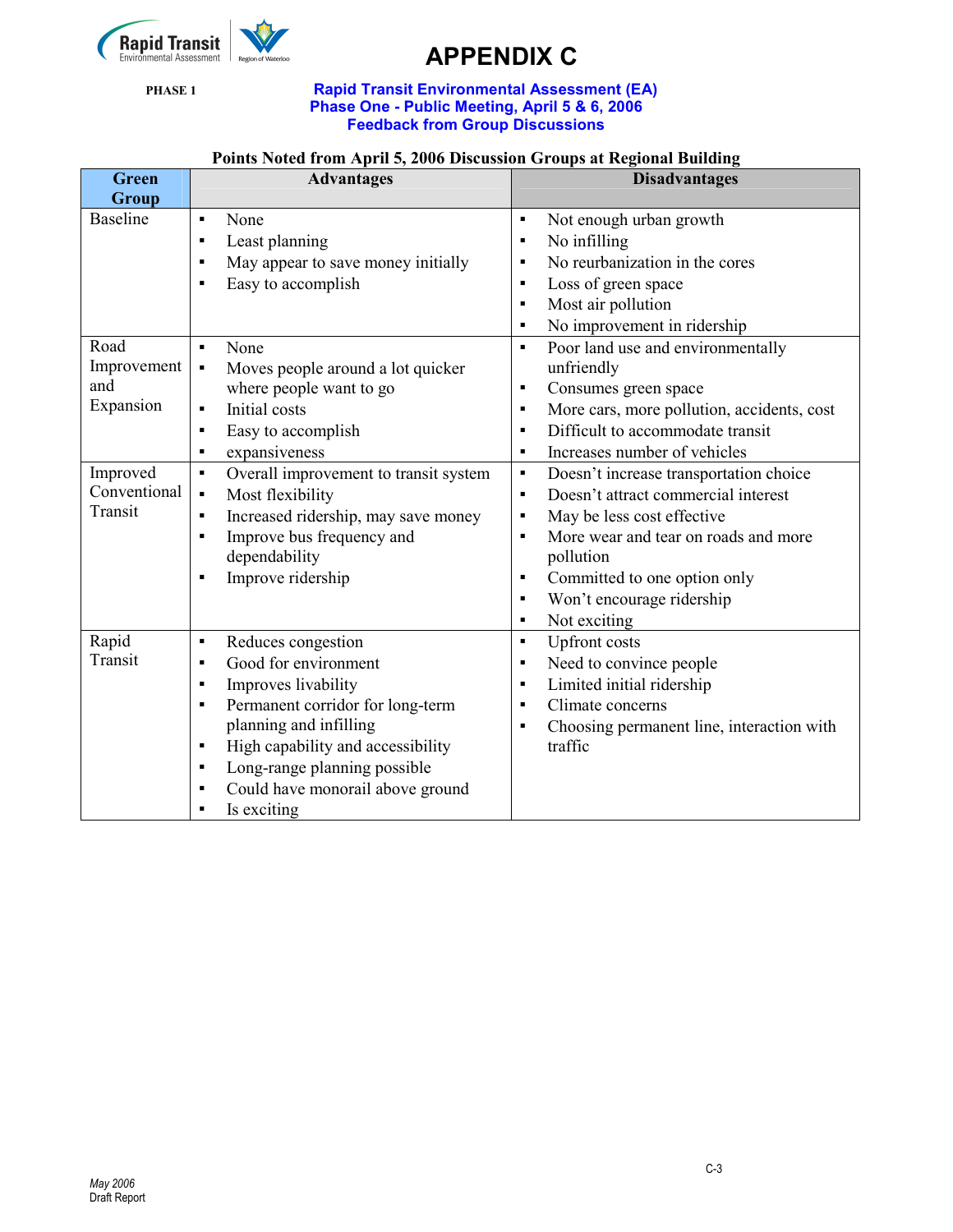

#### PHASE 1 **Rapid Transit Environmental Assessment (EA)** Phase One - Public Meeting, April 5 & 6, 2006 Feedback from Group Discussions

### Points Noted from April 5, 2006 Discussion Groups at Regional Building

| <b>Green</b>                                                        | <b>Advantages</b>                                                                                                                                                                                                                                                                                                                                                | <b>Disadvantages</b>                                                                                                                                                                                                                                                                                                                                                                                                                               |
|---------------------------------------------------------------------|------------------------------------------------------------------------------------------------------------------------------------------------------------------------------------------------------------------------------------------------------------------------------------------------------------------------------------------------------------------|----------------------------------------------------------------------------------------------------------------------------------------------------------------------------------------------------------------------------------------------------------------------------------------------------------------------------------------------------------------------------------------------------------------------------------------------------|
| Group<br><b>Baseline</b><br>Road<br>Improvement<br>and<br>Expansion | None<br>$\blacksquare$<br>Least planning<br>$\blacksquare$<br>May appear to save money initially<br>п<br>Easy to accomplish<br>п<br>None<br>$\blacksquare$<br>Moves people around a lot quicker<br>$\blacksquare$<br>where people want to go<br>Initial costs<br>$\blacksquare$<br>Easy to accomplish<br>×                                                       | Not enough urban growth<br>٠<br>No infilling<br>٠<br>No reurbanization in the cores<br>$\blacksquare$<br>Loss of green space<br>٠<br>Most air pollution<br>$\blacksquare$<br>No improvement in ridership<br>$\blacksquare$<br>Poor land use and environmentally<br>$\blacksquare$<br>unfriendly<br>Consumes green space<br>$\blacksquare$<br>More cars, more pollution, accidents, cost<br>٠<br>Difficult to accommodate transit<br>$\blacksquare$ |
|                                                                     | expansiveness<br>$\blacksquare$                                                                                                                                                                                                                                                                                                                                  | Increases number of vehicles<br>$\blacksquare$                                                                                                                                                                                                                                                                                                                                                                                                     |
| Improved<br>Conventional<br>Transit                                 | Overall improvement to transit system<br>$\blacksquare$<br>Most flexibility<br>$\blacksquare$<br>Increased ridership, may save money<br>$\blacksquare$<br>Improve bus frequency and<br>$\blacksquare$<br>dependability<br>Improve ridership<br>$\blacksquare$                                                                                                    | Doesn't increase transportation choice<br>$\blacksquare$<br>Doesn't attract commercial interest<br>$\blacksquare$<br>May be less cost effective<br>٠<br>More wear and tear on roads and more<br>п<br>pollution<br>Committed to one option only<br>$\blacksquare$<br>Won't encourage ridership<br>٠<br>Not exciting<br>$\blacksquare$                                                                                                               |
| Rapid<br>Transit                                                    | Reduces congestion<br>$\blacksquare$<br>Good for environment<br>$\blacksquare$<br>Improves livability<br>$\blacksquare$<br>Permanent corridor for long-term<br>$\blacksquare$<br>planning and infilling<br>High capability and accessibility<br>٠<br>Long-range planning possible<br>$\blacksquare$<br>Could have monorail above ground<br>٠<br>Is exciting<br>п | <b>Upfront</b> costs<br>$\blacksquare$<br>Need to convince people<br>٠<br>Limited initial ridership<br>п<br>Climate concerns<br>$\blacksquare$<br>Choosing permanent line, interaction with<br>٠<br>traffic                                                                                                                                                                                                                                        |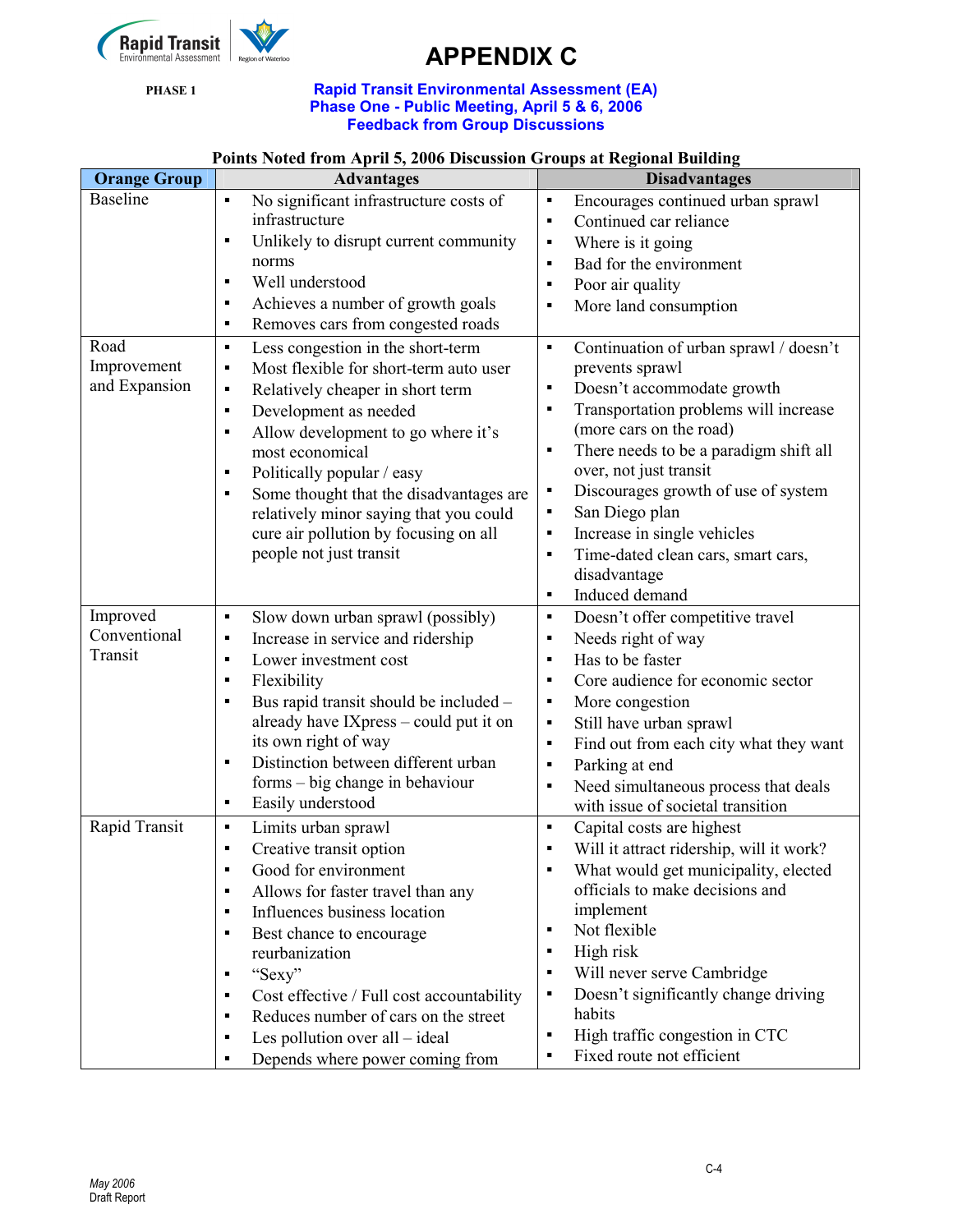

#### PHASE 1 **Rapid Transit Environmental Assessment (EA)** Phase One - Public Meeting, April 5 & 6, 2006 Feedback from Group Discussions

|  |  | <b>Points Noted from April 5, 2006 Discussion Groups at Regional Building</b> |
|--|--|-------------------------------------------------------------------------------|
|--|--|-------------------------------------------------------------------------------|

| Encourages continued urban sprawl        |
|------------------------------------------|
|                                          |
|                                          |
|                                          |
|                                          |
|                                          |
|                                          |
| Continuation of urban sprawl / doesn't   |
|                                          |
|                                          |
| Transportation problems will increase    |
|                                          |
| There needs to be a paradigm shift all   |
|                                          |
| Discourages growth of use of system      |
|                                          |
|                                          |
| Time-dated clean cars, smart cars,       |
|                                          |
|                                          |
| Doesn't offer competitive travel         |
|                                          |
|                                          |
| Core audience for economic sector        |
|                                          |
|                                          |
| Find out from each city what they want   |
|                                          |
| Need simultaneous process that deals     |
|                                          |
|                                          |
| Will it attract ridership, will it work? |
| What would get municipality, elected     |
|                                          |
|                                          |
|                                          |
|                                          |
|                                          |
| Doesn't significantly change driving     |
|                                          |
|                                          |
|                                          |
|                                          |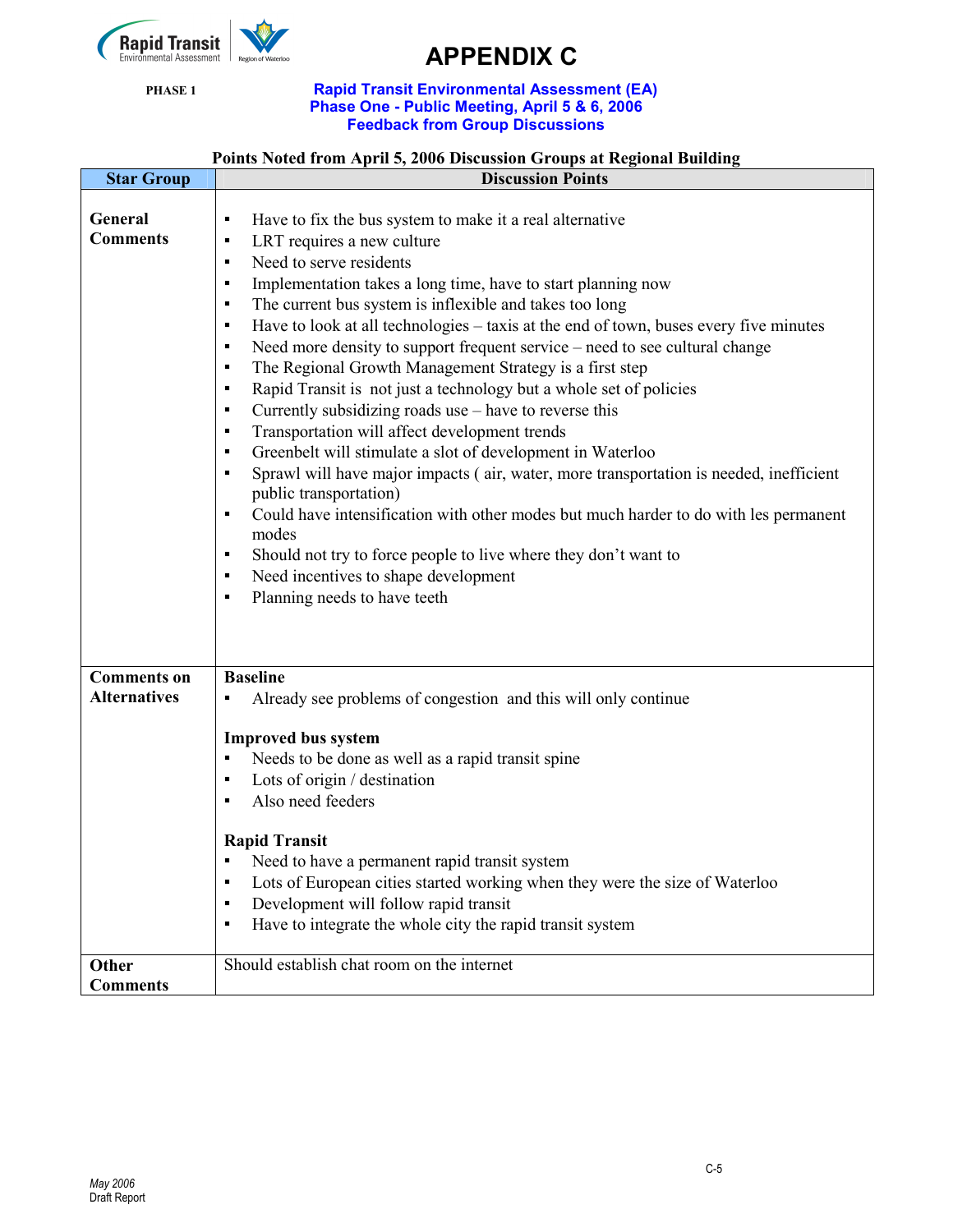

#### PHASE 1 **Rapid Transit Environmental Assessment (EA)** Phase One - Public Meeting, April 5 & 6, 2006 Feedback from Group Discussions

### Points Noted from April 5, 2006 Discussion Groups at Regional Building

| <b>Star Group</b>                         | <b>Discussion Points</b>                                                                                                                                                                                                                                                                                                                                                                                                                                                                                                                                                                                                                                                                                                                                                                                                                                                                                                                                                                                                                                                                                                                                                                                                                                                                                                                        |  |
|-------------------------------------------|-------------------------------------------------------------------------------------------------------------------------------------------------------------------------------------------------------------------------------------------------------------------------------------------------------------------------------------------------------------------------------------------------------------------------------------------------------------------------------------------------------------------------------------------------------------------------------------------------------------------------------------------------------------------------------------------------------------------------------------------------------------------------------------------------------------------------------------------------------------------------------------------------------------------------------------------------------------------------------------------------------------------------------------------------------------------------------------------------------------------------------------------------------------------------------------------------------------------------------------------------------------------------------------------------------------------------------------------------|--|
| General<br><b>Comments</b>                | Have to fix the bus system to make it a real alternative<br>$\blacksquare$<br>LRT requires a new culture<br>$\blacksquare$<br>Need to serve residents<br>$\blacksquare$<br>Implementation takes a long time, have to start planning now<br>$\blacksquare$<br>The current bus system is inflexible and takes too long<br>$\blacksquare$<br>Have to look at all technologies - taxis at the end of town, buses every five minutes<br>$\blacksquare$<br>Need more density to support frequent service – need to see cultural change<br>$\blacksquare$<br>The Regional Growth Management Strategy is a first step<br>$\blacksquare$<br>Rapid Transit is not just a technology but a whole set of policies<br>$\blacksquare$<br>Currently subsidizing roads use – have to reverse this<br>п<br>Transportation will affect development trends<br>$\blacksquare$<br>Greenbelt will stimulate a slot of development in Waterloo<br>٠<br>Sprawl will have major impacts (air, water, more transportation is needed, inefficient<br>$\blacksquare$<br>public transportation)<br>Could have intensification with other modes but much harder to do with les permanent<br>$\blacksquare$<br>modes<br>Should not try to force people to live where they don't want to<br>٠<br>Need incentives to shape development<br>п<br>Planning needs to have teeth<br>Е |  |
| <b>Comments on</b><br><b>Alternatives</b> | <b>Baseline</b><br>Already see problems of congestion and this will only continue<br><b>Improved bus system</b><br>Needs to be done as well as a rapid transit spine<br>٠<br>Lots of origin / destination<br>$\blacksquare$<br>Also need feeders<br>$\blacksquare$<br><b>Rapid Transit</b><br>Need to have a permanent rapid transit system<br>Lots of European cities started working when they were the size of Waterloo<br>п<br>Development will follow rapid transit<br>п<br>Have to integrate the whole city the rapid transit system<br>п                                                                                                                                                                                                                                                                                                                                                                                                                                                                                                                                                                                                                                                                                                                                                                                                 |  |
| Other<br><b>Comments</b>                  | Should establish chat room on the internet                                                                                                                                                                                                                                                                                                                                                                                                                                                                                                                                                                                                                                                                                                                                                                                                                                                                                                                                                                                                                                                                                                                                                                                                                                                                                                      |  |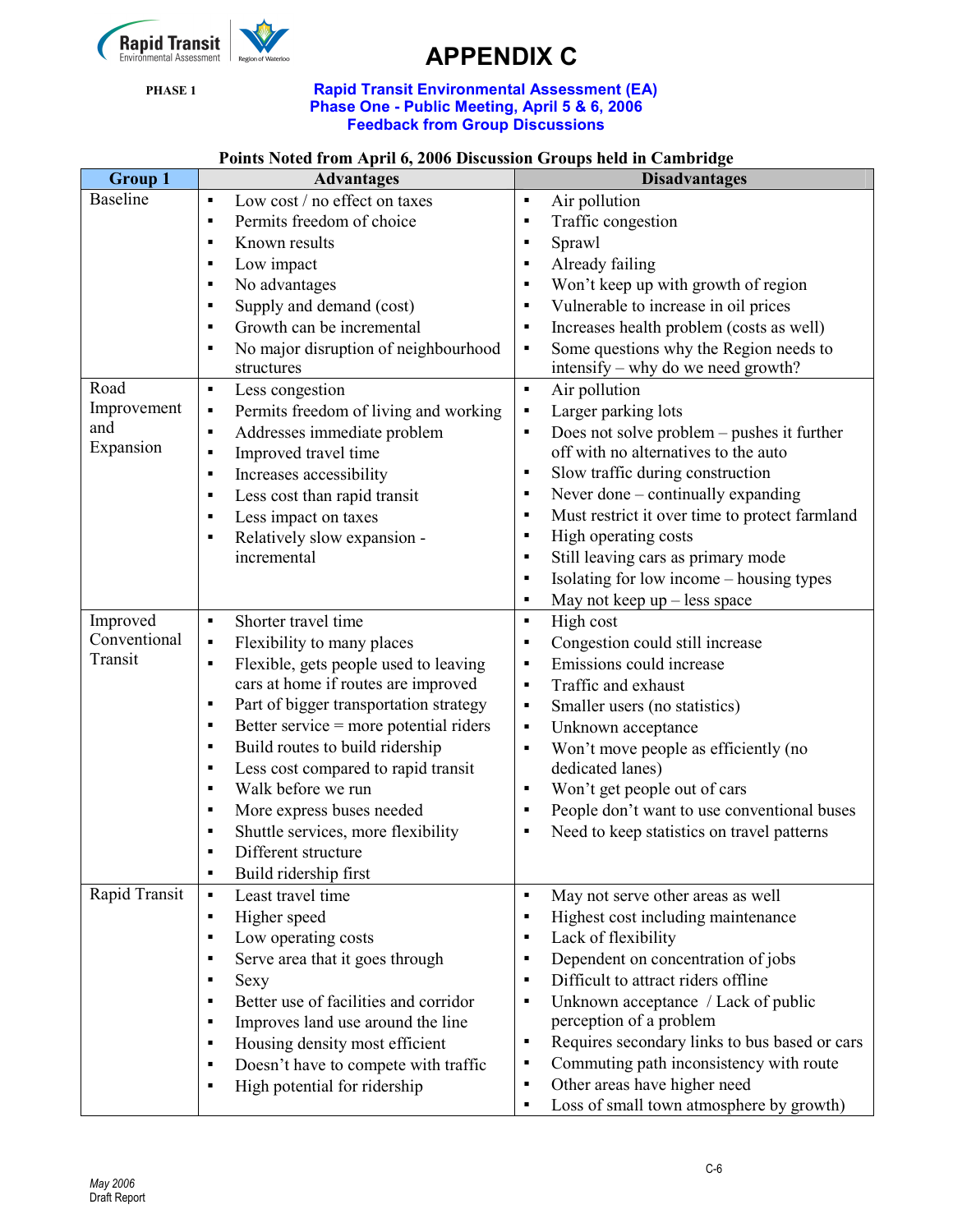

#### PHASE 1 **Rapid Transit Environmental Assessment (EA)** Phase One - Public Meeting, April 5 & 6, 2006 Feedback from Group Discussions

### Points Noted from April 6, 2006 Discussion Groups held in Cambridge

| <b>Group 1</b>  | $_{\rm{5}}$ and $_{\rm{6}}$ are $_{\rm{6}}$ and $_{\rm{7}}$ and $_{\rm{8}}$ are $_{\rm{9}}$ and $_{\rm{9}}$ and $_{\rm{10}}$ and $_{\rm{10}}$ and $_{\rm{11}}$<br><b>Advantages</b> | <b>Disadvantages</b>                                                                                             |
|-----------------|-------------------------------------------------------------------------------------------------------------------------------------------------------------------------------------|------------------------------------------------------------------------------------------------------------------|
| <b>Baseline</b> | Low cost / no effect on taxes                                                                                                                                                       | $\blacksquare$<br>Air pollution                                                                                  |
|                 | Permits freedom of choice<br>$\blacksquare$                                                                                                                                         | Traffic congestion<br>٠                                                                                          |
|                 | Known results<br>$\blacksquare$                                                                                                                                                     | Sprawl<br>$\blacksquare$                                                                                         |
|                 | Low impact<br>$\blacksquare$                                                                                                                                                        | Already failing<br>$\blacksquare$                                                                                |
|                 | No advantages<br>$\blacksquare$                                                                                                                                                     | Won't keep up with growth of region<br>٠                                                                         |
|                 | Supply and demand (cost)<br>$\blacksquare$                                                                                                                                          | Vulnerable to increase in oil prices<br>٠                                                                        |
|                 | Growth can be incremental<br>$\blacksquare$                                                                                                                                         | Increases health problem (costs as well)<br>$\blacksquare$                                                       |
|                 | No major disruption of neighbourhood<br>$\blacksquare$                                                                                                                              | Some questions why the Region needs to<br>$\blacksquare$                                                         |
|                 | structures                                                                                                                                                                          | intensify – why do we need growth?                                                                               |
| Road            | Less congestion<br>$\blacksquare$                                                                                                                                                   | Air pollution<br>$\blacksquare$                                                                                  |
| Improvement     | Permits freedom of living and working<br>$\blacksquare$                                                                                                                             | Larger parking lots<br>$\blacksquare$                                                                            |
| and             | Addresses immediate problem<br>٠                                                                                                                                                    | Does not solve problem – pushes it further<br>$\blacksquare$                                                     |
| Expansion       | Improved travel time<br>$\blacksquare$                                                                                                                                              | off with no alternatives to the auto                                                                             |
|                 | Increases accessibility<br>$\blacksquare$                                                                                                                                           | Slow traffic during construction                                                                                 |
|                 | Less cost than rapid transit<br>$\blacksquare$                                                                                                                                      | Never done – continually expanding<br>٠                                                                          |
|                 | Less impact on taxes<br>$\blacksquare$                                                                                                                                              | Must restrict it over time to protect farmland<br>$\blacksquare$                                                 |
|                 | Relatively slow expansion -<br>$\blacksquare$                                                                                                                                       | High operating costs<br>٠                                                                                        |
|                 | incremental                                                                                                                                                                         | Still leaving cars as primary mode<br>٠                                                                          |
|                 |                                                                                                                                                                                     | Isolating for low income - housing types<br>$\blacksquare$                                                       |
|                 |                                                                                                                                                                                     | May not keep $up$ – less space<br>$\blacksquare$                                                                 |
| Improved        | Shorter travel time<br>$\blacksquare$                                                                                                                                               | High cost<br>$\blacksquare$                                                                                      |
| Conventional    | Flexibility to many places<br>$\blacksquare$                                                                                                                                        | Congestion could still increase<br>٠                                                                             |
| Transit         | Flexible, gets people used to leaving<br>$\blacksquare$                                                                                                                             | Emissions could increase<br>$\blacksquare$                                                                       |
|                 | cars at home if routes are improved                                                                                                                                                 | Traffic and exhaust<br>$\blacksquare$                                                                            |
|                 | Part of bigger transportation strategy<br>$\blacksquare$                                                                                                                            | Smaller users (no statistics)<br>٠                                                                               |
|                 | Better service = more potential riders<br>٠                                                                                                                                         | Unknown acceptance<br>$\blacksquare$                                                                             |
|                 | Build routes to build ridership<br>$\blacksquare$                                                                                                                                   | Won't move people as efficiently (no<br>$\blacksquare$                                                           |
|                 | Less cost compared to rapid transit<br>$\blacksquare$                                                                                                                               | dedicated lanes)                                                                                                 |
|                 | Walk before we run<br>$\blacksquare$                                                                                                                                                | Won't get people out of cars<br>٠                                                                                |
|                 | More express buses needed<br>$\blacksquare$<br>$\blacksquare$                                                                                                                       | People don't want to use conventional buses<br>٠<br>Need to keep statistics on travel patterns<br>$\blacksquare$ |
|                 | Shuttle services, more flexibility<br>Different structure<br>٠                                                                                                                      |                                                                                                                  |
|                 | Build ridership first<br>$\blacksquare$                                                                                                                                             |                                                                                                                  |
| Rapid Transit   | Least travel time<br>$\blacksquare$                                                                                                                                                 | May not serve other areas as well<br>$\blacksquare$                                                              |
|                 | Higher speed<br>٠                                                                                                                                                                   | Highest cost including maintenance<br>٠                                                                          |
|                 | Low operating costs<br>$\blacksquare$                                                                                                                                               | Lack of flexibility<br>٠                                                                                         |
|                 | Serve area that it goes through<br>$\blacksquare$                                                                                                                                   | Dependent on concentration of jobs<br>٠                                                                          |
|                 | Sexy<br>$\blacksquare$                                                                                                                                                              | Difficult to attract riders offline<br>$\blacksquare$                                                            |
|                 | Better use of facilities and corridor<br>п                                                                                                                                          | Unknown acceptance / Lack of public<br>٠                                                                         |
|                 | Improves land use around the line<br>$\blacksquare$                                                                                                                                 | perception of a problem                                                                                          |
|                 | Housing density most efficient<br>$\blacksquare$                                                                                                                                    | Requires secondary links to bus based or cars<br>$\blacksquare$                                                  |
|                 | Doesn't have to compete with traffic<br>$\blacksquare$                                                                                                                              | Commuting path inconsistency with route<br>٠                                                                     |
|                 | High potential for ridership<br>٠                                                                                                                                                   | Other areas have higher need<br>٠                                                                                |
|                 |                                                                                                                                                                                     | Loss of small town atmosphere by growth)<br>$\blacksquare$                                                       |